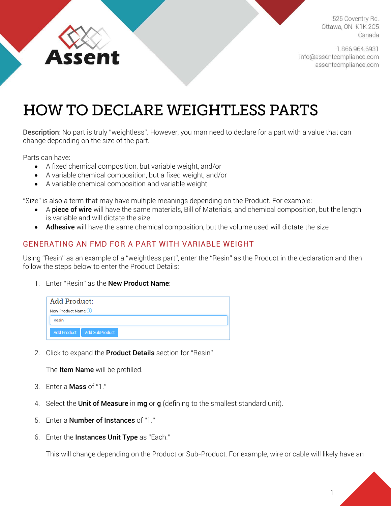ssent

525 Coventry Rd. Ottawa, ON K1K 2C5 Canada

1.866.964.6931 info@assentcompliance.com assentcompliance.com

## HOW TO DECLARE WEIGHTLESS PARTS

Description: No part is truly "weightless". However, you man need to declare for a part with a value that can change depending on the size of the part.

Parts can have:

- A fixed chemical composition, but variable weight, and/or
- A variable chemical composition, but a fixed weight, and/or
- A variable chemical composition and variable weight

"Size" is also a term that may have multiple meanings depending on the Product. For example:

- A **piece of wire** will have the same materials, Bill of Materials, and chemical composition, but the length is variable and will dictate the size
- Adhesive will have the same chemical composition, but the volume used will dictate the size

## GENERATING AN FMD FOR A PART WITH VARIABLE WEIGHT

Using "Resin" as an example of a "weightless part", enter the "Resin" as the Product in the declaration and then follow the steps below to enter the Product Details:

1. Enter "Resin" as the New Product Name:

| <b>Add Product:</b>  |                              |  |
|----------------------|------------------------------|--|
| New Product Name (1) |                              |  |
| Resin                |                              |  |
|                      | Add Product   Add SubProduct |  |

2. Click to expand the Product Details section for "Resin"

The **Item Name** will be prefilled.

- 3. Enter a Mass of "1."
- 4. Select the Unit of Measure in mg or g (defining to the smallest standard unit).
- 5. Enter a Number of Instances of "1."
- 6. Enter the Instances Unit Type as "Each."

This will change depending on the Product or Sub-Product. For example, wire or cable will likely have an

1